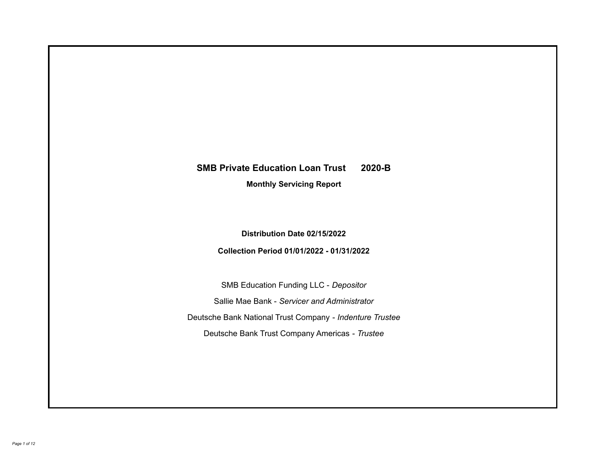# **SMB Private Education Loan Trust 2020-B**

**Monthly Servicing Report**

**Distribution Date 02/15/2022**

**Collection Period 01/01/2022 - 01/31/2022**

SMB Education Funding LLC - *Depositor* Sallie Mae Bank - *Servicer and Administrator* Deutsche Bank National Trust Company - *Indenture Trustee* Deutsche Bank Trust Company Americas - *Trustee*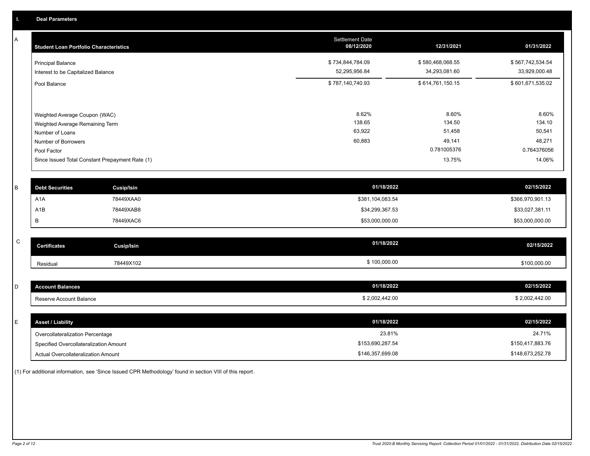A

| <b>Student Loan Portfolio Characteristics</b>                                                                                                                                | <b>Settlement Date</b><br>08/12/2020 | 12/31/2021                                                   | 01/31/2022                                                   |
|------------------------------------------------------------------------------------------------------------------------------------------------------------------------------|--------------------------------------|--------------------------------------------------------------|--------------------------------------------------------------|
| <b>Principal Balance</b><br>Interest to be Capitalized Balance                                                                                                               | \$734,844,784.09<br>52,295,956.84    | \$580,468,068.55<br>34,293,081.60                            | \$567,742,534.54<br>33,929,000.48                            |
| Pool Balance                                                                                                                                                                 | \$787,140,740.93                     | \$614,761,150.15                                             | \$601,671,535.02                                             |
| Weighted Average Coupon (WAC)<br>Weighted Average Remaining Term<br>Number of Loans<br>Number of Borrowers<br>Pool Factor<br>Since Issued Total Constant Prepayment Rate (1) | 8.62%<br>138.65<br>63,922<br>60,883  | 8.60%<br>134.50<br>51,458<br>49,141<br>0.781005376<br>13.75% | 8.60%<br>134.10<br>50,541<br>48,271<br>0.764376056<br>14.06% |

| <b>Debt Securities</b> | <b>Cusip/Isin</b> | 01/18/2022       | 02/15/2022       |
|------------------------|-------------------|------------------|------------------|
| A <sub>1</sub> A       | 78449XAA0         | \$381,104,083.54 | \$366,970,901.13 |
| A1B                    | 78449XAB8         | \$34,299,367.53  | \$33,027,381.11  |
|                        | 78449XAC6         | \$53,000,000.00  | \$53,000,000.00  |

| $\sim$<br>◡ | <b>Certificates</b> | Cusip/Isin | 01/18/2022   | 02/15/2022   |
|-------------|---------------------|------------|--------------|--------------|
|             | Residual            | 78449X102  | \$100,000.00 | \$100,000.00 |

| <b>Account Balances</b> | 01/18/2022     | 02/15/2022     |
|-------------------------|----------------|----------------|
| Reserve Account Balance | \$2,002,442.00 | \$2,002,442.00 |

| E. | <b>Asset / Liability</b>               | 01/18/2022       | 02/15/2022       |
|----|----------------------------------------|------------------|------------------|
|    | Overcollateralization Percentage       | 23.81%           | 24.71%           |
|    | Specified Overcollateralization Amount | \$153,690,287.54 | \$150,417,883.76 |
|    | Actual Overcollateralization Amount    | \$146,357,699.08 | \$148,673,252.78 |

(1) For additional information, see 'Since Issued CPR Methodology' found in section VIII of this report .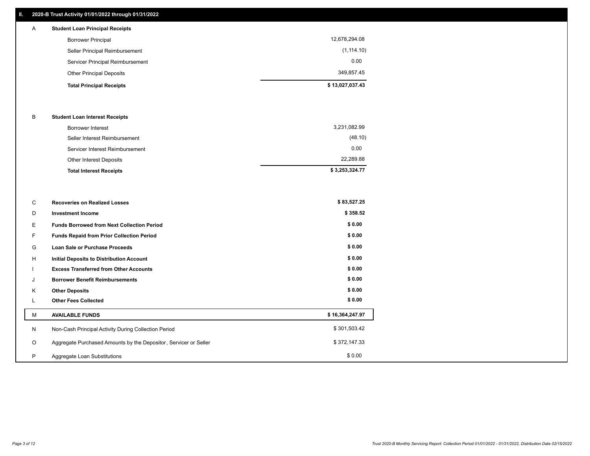## **II. 2020-B Trust Activity 01/01/2022 through 01/31/2022**

## **Total Principal Receipts \$ 13,027,037.43**  Other Principal Deposits 349,857.45 Servicer Principal Reimbursement 0.00 Seller Principal Reimbursement (1,114.10) Borrower Principal 12,678,294.08 A **Student Loan Principal Receipts**

#### B **Student Loan Interest Receipts**

| <b>Borrower Interest</b>        | 3,231,082.99   |
|---------------------------------|----------------|
| Seller Interest Reimbursement   | (48.10)        |
| Servicer Interest Reimbursement | 0.00           |
| Other Interest Deposits         | 22.289.88      |
| <b>Total Interest Receipts</b>  | \$3,253,324.77 |

| C       | <b>Recoveries on Realized Losses</b>                             | \$83,527.25     |
|---------|------------------------------------------------------------------|-----------------|
| D       | Investment Income                                                | \$358.52        |
| Е.      | <b>Funds Borrowed from Next Collection Period</b>                | \$0.00          |
| F.      | <b>Funds Repaid from Prior Collection Period</b>                 | \$0.00          |
| G       | Loan Sale or Purchase Proceeds                                   | \$0.00          |
| H       | Initial Deposits to Distribution Account                         | \$0.00          |
|         | <b>Excess Transferred from Other Accounts</b>                    | \$0.00          |
| J       | <b>Borrower Benefit Reimbursements</b>                           | \$0.00          |
| K       | <b>Other Deposits</b>                                            | \$0.00          |
| ц.      | <b>Other Fees Collected</b>                                      | \$0.00          |
| м       | <b>AVAILABLE FUNDS</b>                                           | \$16,364,247.97 |
| N       | Non-Cash Principal Activity During Collection Period             | \$301,503.42    |
| $\circ$ | Aggregate Purchased Amounts by the Depositor, Servicer or Seller | \$372,147.33    |
| P       | Aggregate Loan Substitutions                                     | \$0.00          |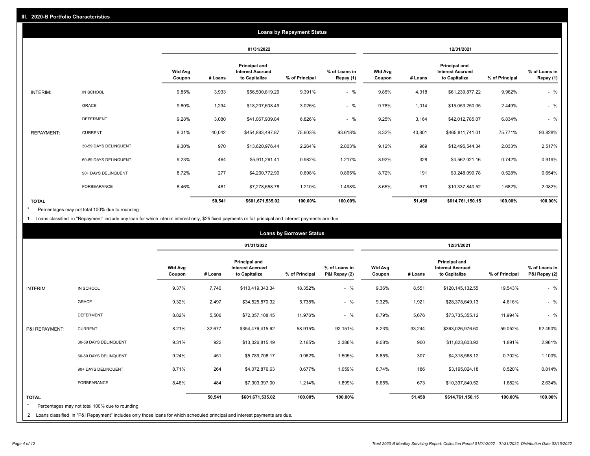|                   | <b>Loans by Repayment Status</b> |                          |            |                                                           |                |                            |                   |         |                                                           |                |                            |
|-------------------|----------------------------------|--------------------------|------------|-----------------------------------------------------------|----------------|----------------------------|-------------------|---------|-----------------------------------------------------------|----------------|----------------------------|
|                   |                                  |                          | 01/31/2022 |                                                           |                | 12/31/2021                 |                   |         |                                                           |                |                            |
|                   |                                  | <b>Wtd Avg</b><br>Coupon | # Loans    | Principal and<br><b>Interest Accrued</b><br>to Capitalize | % of Principal | % of Loans in<br>Repay (1) | Wtd Avg<br>Coupon | # Loans | Principal and<br><b>Interest Accrued</b><br>to Capitalize | % of Principal | % of Loans in<br>Repay (1) |
| INTERIM:          | IN SCHOOL                        | 9.85%                    | 3,933      | \$56,500,819.29                                           | 9.391%         | $-$ %                      | 9.85%             | 4,318   | \$61,239,877.22                                           | 9.962%         | $-$ %                      |
|                   | GRACE                            | 9.80%                    | 1,294      | \$18,207,608.49                                           | 3.026%         | $-$ %                      | 9.78%             | 1,014   | \$15,053,250.05                                           | 2.449%         | $-$ %                      |
|                   | <b>DEFERMENT</b>                 | 9.28%                    | 3,080      | \$41,067,939.84                                           | 6.826%         | $-$ %                      | 9.25%             | 3,164   | \$42,012,785.07                                           | 6.834%         | $-$ %                      |
| <b>REPAYMENT:</b> | <b>CURRENT</b>                   | 8.31%                    | 40,042     | \$454,883,497.87                                          | 75.603%        | 93.618%                    | 8.32%             | 40,801  | \$465,811,741.01                                          | 75.771%        | 93.828%                    |
|                   | 30-59 DAYS DELINQUENT            | 9.30%                    | 970        | \$13,620,976.44                                           | 2.264%         | 2.803%                     | 9.12%             | 969     | \$12,495,544.34                                           | 2.033%         | 2.517%                     |
|                   | 60-89 DAYS DELINQUENT            | 9.23%                    | 464        | \$5,911,261.41                                            | 0.982%         | 1.217%                     | 8.92%             | 328     | \$4,562,021.16                                            | 0.742%         | 0.919%                     |
|                   | 90+ DAYS DELINQUENT              | 8.72%                    | 277        | \$4,200,772.90                                            | 0.698%         | 0.865%                     | 8.72%             | 191     | \$3,248,090.78                                            | 0.528%         | 0.654%                     |
|                   | <b>FORBEARANCE</b>               | 8.46%                    | 481        | \$7,278,658.78                                            | 1.210%         | 1.498%                     | 8.65%             | 673     | \$10,337,840.52                                           | 1.682%         | 2.082%                     |
| <b>TOTAL</b>      |                                  |                          | 50,541     | \$601,671,535.02                                          | 100.00%        | 100.00%                    |                   | 51,458  | \$614,761,150.15                                          | 100.00%        | 100.00%                    |

Percentages may not total 100% due to rounding \*

1 Loans classified in "Repayment" include any loan for which interim interest only, \$25 fixed payments or full principal and interest payments are due.

| <b>Loans by Borrower Status</b> |                                                                                                                              |                          |            |                                                                  |                |                                |                          |         |                                                           |                |                                |
|---------------------------------|------------------------------------------------------------------------------------------------------------------------------|--------------------------|------------|------------------------------------------------------------------|----------------|--------------------------------|--------------------------|---------|-----------------------------------------------------------|----------------|--------------------------------|
|                                 |                                                                                                                              |                          | 01/31/2022 |                                                                  |                |                                | 12/31/2021               |         |                                                           |                |                                |
|                                 |                                                                                                                              | <b>Wtd Avg</b><br>Coupon | # Loans    | <b>Principal and</b><br><b>Interest Accrued</b><br>to Capitalize | % of Principal | % of Loans in<br>P&I Repay (2) | <b>Wtd Avg</b><br>Coupon | # Loans | Principal and<br><b>Interest Accrued</b><br>to Capitalize | % of Principal | % of Loans in<br>P&I Repay (2) |
| <b>INTERIM:</b>                 | IN SCHOOL                                                                                                                    | 9.37%                    | 7,740      | \$110,419,343.34                                                 | 18.352%        | $-$ %                          | 9.36%                    | 8,551   | \$120,145,132.55                                          | 19.543%        | $-$ %                          |
|                                 | <b>GRACE</b>                                                                                                                 | 9.32%                    | 2,497      | \$34,525,870.32                                                  | 5.738%         | $-$ %                          | 9.32%                    | 1,921   | \$28,378,649.13                                           | 4.616%         | $-$ %                          |
|                                 | <b>DEFERMENT</b>                                                                                                             | 8.82%                    | 5,506      | \$72,057,108.45                                                  | 11.976%        | $-$ %                          | 8.79%                    | 5,676   | \$73,735,355.12                                           | 11.994%        | $-$ %                          |
| P&I REPAYMENT:                  | <b>CURRENT</b>                                                                                                               | 8.21%                    | 32,677     | \$354,476,415.62                                                 | 58.915%        | 92.151%                        | 8.23%                    | 33,244  | \$363,026,976.60                                          | 59.052%        | 92.490%                        |
|                                 | 30-59 DAYS DELINQUENT                                                                                                        | 9.31%                    | 922        | \$13,026,815.49                                                  | 2.165%         | 3.386%                         | 9.08%                    | 900     | \$11,623,603.93                                           | 1.891%         | 2.961%                         |
|                                 | 60-89 DAYS DELINQUENT                                                                                                        | 9.24%                    | 451        | \$5,789,708.17                                                   | 0.962%         | 1.505%                         | 8.85%                    | 307     | \$4,318,568.12                                            | 0.702%         | 1.100%                         |
|                                 | 90+ DAYS DELINQUENT                                                                                                          | 8.71%                    | 264        | \$4,072,876.63                                                   | 0.677%         | 1.059%                         | 8.74%                    | 186     | \$3,195,024.18                                            | 0.520%         | 0.814%                         |
|                                 | FORBEARANCE                                                                                                                  | 8.46%                    | 484        | \$7,303,397.00                                                   | 1.214%         | 1.899%                         | 8.65%                    | 673     | \$10,337,840.52                                           | 1.682%         | 2.634%                         |
| <b>TOTAL</b>                    | Percentages may not total 100% due to rounding                                                                               |                          | 50,541     | \$601,671,535.02                                                 | 100.00%        | 100.00%                        |                          | 51,458  | \$614,761,150.15                                          | 100.00%        | 100.00%                        |
|                                 | 2 Loans classified in "P&I Repayment" includes only those loans for which scheduled principal and interest payments are due. |                          |            |                                                                  |                |                                |                          |         |                                                           |                |                                |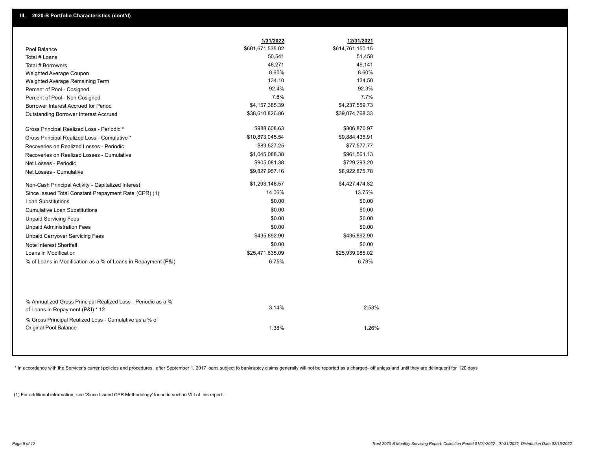|                                                                                        | 1/31/2022        | 12/31/2021       |
|----------------------------------------------------------------------------------------|------------------|------------------|
| Pool Balance                                                                           | \$601,671,535.02 | \$614,761,150.15 |
| Total # Loans                                                                          | 50,541           | 51,458           |
| Total # Borrowers                                                                      | 48,271           | 49,141           |
| Weighted Average Coupon                                                                | 8.60%            | 8.60%            |
| Weighted Average Remaining Term                                                        | 134.10           | 134.50           |
| Percent of Pool - Cosigned                                                             | 92.4%            | 92.3%            |
| Percent of Pool - Non Cosigned                                                         | 7.6%             | 7.7%             |
| Borrower Interest Accrued for Period                                                   | \$4,157,385.39   | \$4,237,559.73   |
| Outstanding Borrower Interest Accrued                                                  | \$38,610,826.86  | \$39,074,768.33  |
| Gross Principal Realized Loss - Periodic *                                             | \$988,608.63     | \$806,870.97     |
| Gross Principal Realized Loss - Cumulative *                                           | \$10,873,045.54  | \$9,884,436.91   |
| Recoveries on Realized Losses - Periodic                                               | \$83,527.25      | \$77,577.77      |
| Recoveries on Realized Losses - Cumulative                                             | \$1,045,088.38   | \$961,561.13     |
| Net Losses - Periodic                                                                  | \$905,081.38     | \$729,293.20     |
| Net Losses - Cumulative                                                                | \$9,827,957.16   | \$8,922,875.78   |
| Non-Cash Principal Activity - Capitalized Interest                                     | \$1,293,146.57   | \$4,427,474.82   |
| Since Issued Total Constant Prepayment Rate (CPR) (1)                                  | 14.06%           | 13.75%           |
| <b>Loan Substitutions</b>                                                              | \$0.00           | \$0.00           |
| <b>Cumulative Loan Substitutions</b>                                                   | \$0.00           | \$0.00           |
| <b>Unpaid Servicing Fees</b>                                                           | \$0.00           | \$0.00           |
| <b>Unpaid Administration Fees</b>                                                      | \$0.00           | \$0.00           |
| <b>Unpaid Carryover Servicing Fees</b>                                                 | \$435,892.90     | \$435,892.90     |
| Note Interest Shortfall                                                                | \$0.00           | \$0.00           |
| Loans in Modification                                                                  | \$25,471,635.09  | \$25,939,985.02  |
| % of Loans in Modification as a % of Loans in Repayment (P&I)                          | 6.75%            | 6.79%            |
| % Annualized Gross Principal Realized Loss - Periodic as a %                           |                  |                  |
| of Loans in Repayment (P&I) * 12                                                       | 3.14%            | 2.53%            |
| % Gross Principal Realized Loss - Cumulative as a % of<br><b>Original Pool Balance</b> | 1.38%            | 1.26%            |

\* In accordance with the Servicer's current policies and procedures, after September 1, 2017 loans subject to bankruptcy claims generally will not be reported as a charged- off unless and until they are delinquent for 120

(1) For additional information, see 'Since Issued CPR Methodology' found in section VIII of this report .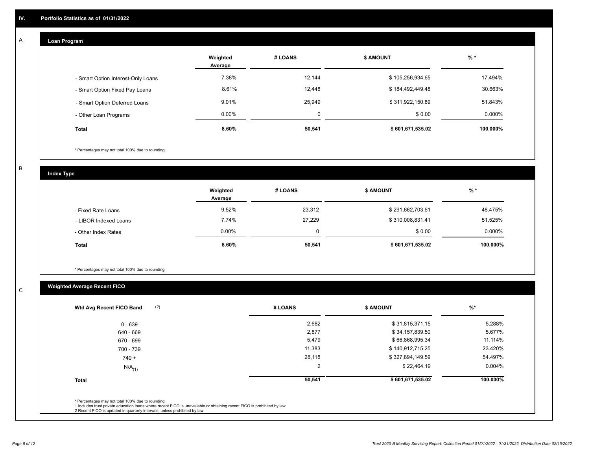## **Loan Program**

A

|                                    | Weighted<br>Average | # LOANS  | <b>\$ AMOUNT</b> | $%$ *    |
|------------------------------------|---------------------|----------|------------------|----------|
| - Smart Option Interest-Only Loans | 7.38%               | 12,144   | \$105,256,934.65 | 17.494%  |
| - Smart Option Fixed Pay Loans     | 8.61%               | 12,448   | \$184,492,449.48 | 30.663%  |
| - Smart Option Deferred Loans      | 9.01%               | 25,949   | \$311,922,150.89 | 51.843%  |
| - Other Loan Programs              | $0.00\%$            | $\Omega$ | \$0.00           | 0.000%   |
| <b>Total</b>                       | 8.60%               | 50,541   | \$601,671,535.02 | 100.000% |

\* Percentages may not total 100% due to rounding

B

C

**Index Type**

|                       | Weighted<br># LOANS<br>Average |        | <b>\$ AMOUNT</b> |           |
|-----------------------|--------------------------------|--------|------------------|-----------|
| - Fixed Rate Loans    | 9.52%                          | 23,312 | \$291,662,703.61 | 48.475%   |
| - LIBOR Indexed Loans | 7.74%                          | 27,229 | \$310,008,831.41 | 51.525%   |
| - Other Index Rates   | $0.00\%$                       |        | \$0.00           | $0.000\%$ |
| <b>Total</b>          | 8.60%                          | 50,541 | \$601,671,535.02 | 100.000%  |

\* Percentages may not total 100% due to rounding

## **Weighted Average Recent FICO**

| (2)<br>Wtd Avg Recent FICO Band | # LOANS | <b>\$ AMOUNT</b> | $%$ *     |
|---------------------------------|---------|------------------|-----------|
| $0 - 639$                       | 2,682   | \$31,815,371.15  | 5.288%    |
| 640 - 669                       | 2,877   | \$34,157,839.50  | 5.677%    |
| 670 - 699                       | 5,479   | \$66,868,995.34  | 11.114%   |
| 700 - 739                       | 11,383  | \$140,912,715.25 | 23.420%   |
| $740 +$                         | 28,118  | \$327,894,149.59 | 54.497%   |
| $N/A$ <sub>(1)</sub>            | 2       | \$22,464.19      | $0.004\%$ |
| <b>Total</b>                    | 50,541  | \$601,671,535.02 | 100.000%  |
|                                 |         |                  |           |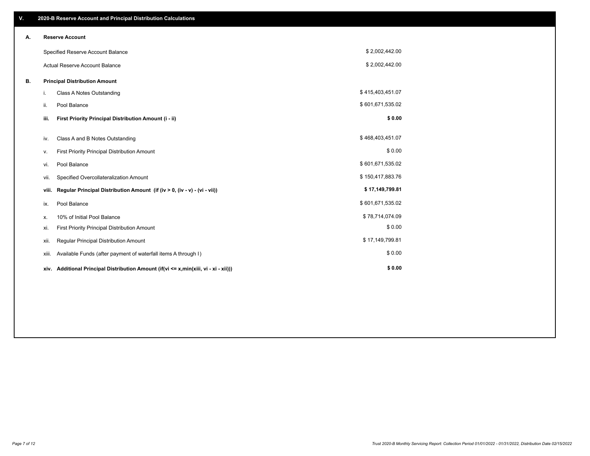| V. |       | 2020-B Reserve Account and Principal Distribution Calculations                       |                  |  |
|----|-------|--------------------------------------------------------------------------------------|------------------|--|
| А. |       | <b>Reserve Account</b>                                                               |                  |  |
|    |       | Specified Reserve Account Balance                                                    | \$2,002,442.00   |  |
|    |       | Actual Reserve Account Balance                                                       | \$2,002,442.00   |  |
| В. |       | <b>Principal Distribution Amount</b>                                                 |                  |  |
|    | i.    | <b>Class A Notes Outstanding</b>                                                     | \$415,403,451.07 |  |
|    | ii.   | Pool Balance                                                                         | \$601,671,535.02 |  |
|    | iii.  | First Priority Principal Distribution Amount (i - ii)                                | \$0.00           |  |
|    | iv.   | Class A and B Notes Outstanding                                                      | \$468,403,451.07 |  |
|    | ٧.    | First Priority Principal Distribution Amount                                         | \$0.00           |  |
|    | vi.   | Pool Balance                                                                         | \$601,671,535.02 |  |
|    | vii.  | Specified Overcollateralization Amount                                               | \$150,417,883.76 |  |
|    | viii. | Regular Principal Distribution Amount (if (iv > 0, (iv - v) - (vi - vii))            | \$17,149,799.81  |  |
|    | ix.   | Pool Balance                                                                         | \$601,671,535.02 |  |
|    | х.    | 10% of Initial Pool Balance                                                          | \$78,714,074.09  |  |
|    | xi.   | First Priority Principal Distribution Amount                                         | \$0.00           |  |
|    | xii.  | Regular Principal Distribution Amount                                                | \$17,149,799.81  |  |
|    | xiii. | Available Funds (after payment of waterfall items A through I)                       | \$0.00           |  |
|    |       | xiv. Additional Principal Distribution Amount (if(vi <= x,min(xiii, vi - xi - xii))) | \$0.00           |  |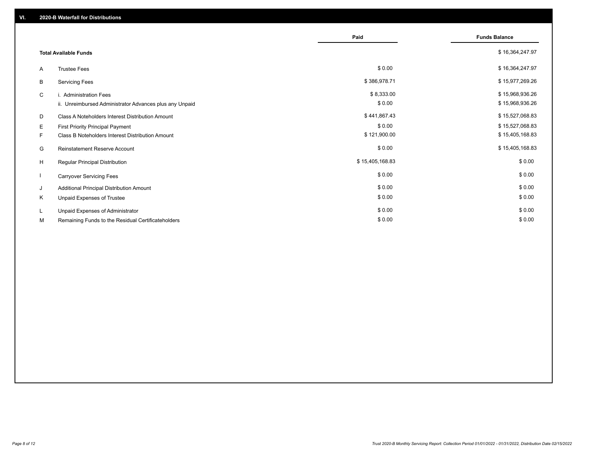|    |                                                         | Paid            | <b>Funds Balance</b> |
|----|---------------------------------------------------------|-----------------|----------------------|
|    | <b>Total Available Funds</b>                            |                 | \$16,364,247.97      |
| A  | <b>Trustee Fees</b>                                     | \$0.00          | \$16,364,247.97      |
| В  | <b>Servicing Fees</b>                                   | \$386,978.71    | \$15,977,269.26      |
| C  | i. Administration Fees                                  | \$8,333.00      | \$15,968,936.26      |
|    | ii. Unreimbursed Administrator Advances plus any Unpaid | \$0.00          | \$15,968,936.26      |
| D  | Class A Noteholders Interest Distribution Amount        | \$441,867.43    | \$15,527,068.83      |
| Е  | First Priority Principal Payment                        | \$0.00          | \$15,527,068.83      |
| F. | Class B Noteholders Interest Distribution Amount        | \$121,900.00    | \$15,405,168.83      |
| G  | Reinstatement Reserve Account                           | \$0.00          | \$15,405,168.83      |
| H  | <b>Regular Principal Distribution</b>                   | \$15,405,168.83 | \$0.00               |
|    | <b>Carryover Servicing Fees</b>                         | \$0.00          | \$0.00               |
| J  | Additional Principal Distribution Amount                | \$0.00          | \$0.00               |
| Κ  | Unpaid Expenses of Trustee                              | \$0.00          | \$0.00               |
| L. | Unpaid Expenses of Administrator                        | \$0.00          | \$0.00               |
| М  | Remaining Funds to the Residual Certificateholders      | \$0.00          | \$0.00               |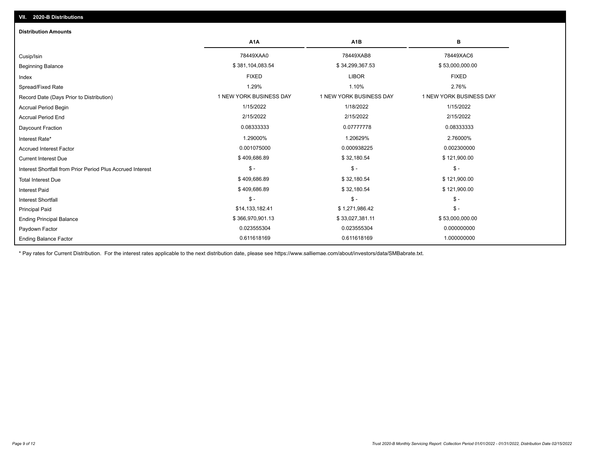| <b>Distribution Amounts</b>                                |                         |                         |                         |
|------------------------------------------------------------|-------------------------|-------------------------|-------------------------|
|                                                            | A <sub>1</sub> A        | A <sub>1</sub> B        | в                       |
| Cusip/Isin                                                 | 78449XAA0               | 78449XAB8               | 78449XAC6               |
| <b>Beginning Balance</b>                                   | \$381,104,083.54        | \$34,299,367.53         | \$53,000,000.00         |
| Index                                                      | <b>FIXED</b>            | <b>LIBOR</b>            | <b>FIXED</b>            |
| Spread/Fixed Rate                                          | 1.29%                   | 1.10%                   | 2.76%                   |
| Record Date (Days Prior to Distribution)                   | 1 NEW YORK BUSINESS DAY | 1 NEW YORK BUSINESS DAY | 1 NEW YORK BUSINESS DAY |
| <b>Accrual Period Begin</b>                                | 1/15/2022               | 1/18/2022               | 1/15/2022               |
| <b>Accrual Period End</b>                                  | 2/15/2022               | 2/15/2022               | 2/15/2022               |
| <b>Daycount Fraction</b>                                   | 0.08333333              | 0.07777778              | 0.08333333              |
| Interest Rate*                                             | 1.29000%                | 1.20629%                | 2.76000%                |
| <b>Accrued Interest Factor</b>                             | 0.001075000             | 0.000938225             | 0.002300000             |
| <b>Current Interest Due</b>                                | \$409,686.89            | \$32,180.54             | \$121,900.00            |
| Interest Shortfall from Prior Period Plus Accrued Interest | $$ -$                   | $$ -$                   | $\mathsf{\$}$ -         |
| <b>Total Interest Due</b>                                  | \$409,686.89            | \$32,180.54             | \$121,900.00            |
| <b>Interest Paid</b>                                       | \$409,686.89            | \$32,180.54             | \$121,900.00            |
| <b>Interest Shortfall</b>                                  | $$ -$                   | $$ -$                   | $$ -$                   |
| <b>Principal Paid</b>                                      | \$14,133,182.41         | \$1,271,986.42          | $$ -$                   |
| <b>Ending Principal Balance</b>                            | \$366,970,901.13        | \$33,027,381.11         | \$53,000,000.00         |
| Paydown Factor                                             | 0.023555304             | 0.023555304             | 0.000000000             |
| <b>Ending Balance Factor</b>                               | 0.611618169             | 0.611618169             | 1.000000000             |

\* Pay rates for Current Distribution. For the interest rates applicable to the next distribution date, please see https://www.salliemae.com/about/investors/data/SMBabrate.txt.

**VII. 2020-B Distributions**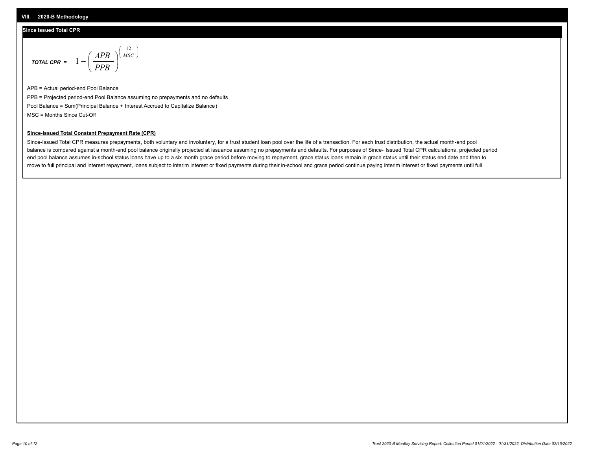### **Since Issued Total CPR**

$$
\text{total cPR} = 1 - \left(\frac{APB}{PPB}\right)^{\left(\frac{12}{MSC}\right)}
$$

APB = Actual period-end Pool Balance PPB = Projected period-end Pool Balance assuming no prepayments and no defaults Pool Balance = Sum(Principal Balance + Interest Accrued to Capitalize Balance) MSC = Months Since Cut-Off

I J Ι

#### **Since-Issued Total Constant Prepayment Rate (CPR)**

Since-Issued Total CPR measures prepayments, both voluntary and involuntary, for a trust student loan pool over the life of a transaction. For each trust distribution, the actual month-end pool balance is compared against a month-end pool balance originally projected at issuance assuming no prepayments and defaults. For purposes of Since- Issued Total CPR calculations, projected period end pool balance assumes in-school status loans have up to a six month grace period before moving to repayment, grace status loans remain in grace status until their status end date and then to move to full principal and interest repayment, loans subject to interim interest or fixed payments during their in-school and grace period continue paying interim interest or fixed payments until full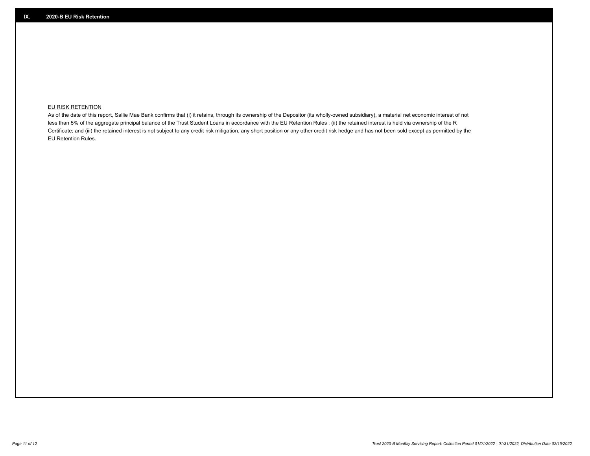## **EU RISK RETENTION**

As of the date of this report, Sallie Mae Bank confirms that (i) it retains, through its ownership of the Depositor (its wholly-owned subsidiary), a material net economic interest of not less than 5% of the aggregate principal balance of the Trust Student Loans in accordance with the EU Retention Rules ; (ii) the retained interest is held via ownership of the R Certificate; and (iii) the retained interest is not subject to any credit risk mitigation, any short position or any other credit risk hedge and has not been sold except as permitted by the EU Retention Rules.